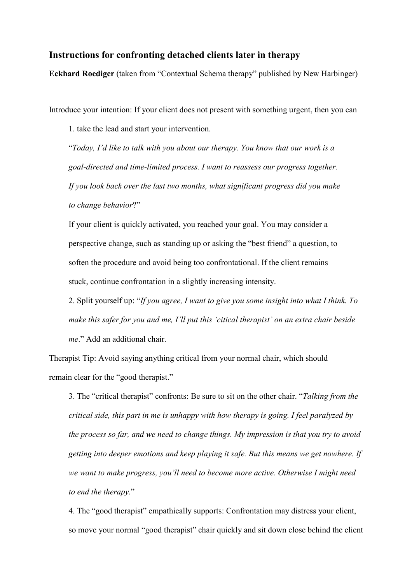## **Instructions for confronting detached clients later in therapy**

**Eckhard Roediger** (taken from "Contextual Schema therapy" published by New Harbinger)

Introduce your intention: If your client does not present with something urgent, then you can

1. take the lead and start your intervention.

"*Today, I'd like to talk with you about our therapy. You know that our work is a goal-directed and time-limited process. I want to reassess our progress together. If you look back over the last two months, what significant progress did you make to change behavior*?"

If your client is quickly activated, you reached your goal. You may consider a perspective change, such as standing up or asking the "best friend" a question, to soften the procedure and avoid being too confrontational. If the client remains stuck, continue confrontation in a slightly increasing intensity.

2. Split yourself up: "*If you agree, I want to give you some insight into what I think. To make this safer for you and me, I'll put this 'citical therapist' on an extra chair beside me*." Add an additional chair.

Therapist Tip: Avoid saying anything critical from your normal chair, which should remain clear for the "good therapist."

3. The "critical therapist" confronts: Be sure to sit on the other chair. "*Talking from the critical side, this part in me is unhappy with how therapy is going. I feel paralyzed by the process so far, and we need to change things. My impression is that you try to avoid getting into deeper emotions and keep playing it safe. But this means we get nowhere. If we want to make progress, you'll need to become more active. Otherwise I might need to end the therapy.*"

4. The "good therapist" empathically supports: Confrontation may distress your client, so move your normal "good therapist" chair quickly and sit down close behind the client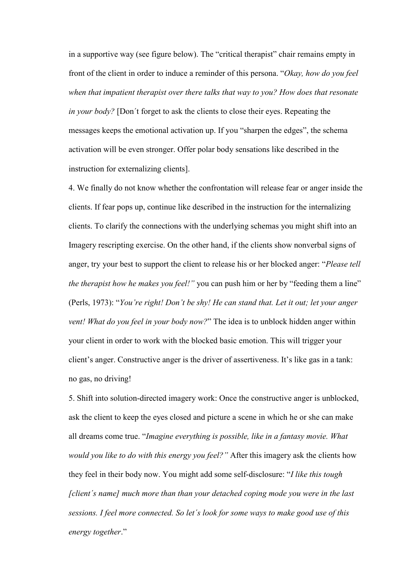in a supportive way (see figure below). The "critical therapist" chair remains empty in front of the client in order to induce a reminder of this persona. "*Okay, how do you feel when that impatient therapist over there talks that way to you? How does that resonate in your body?* [Don´t forget to ask the clients to close their eyes. Repeating the messages keeps the emotional activation up. If you "sharpen the edges", the schema activation will be even stronger. Offer polar body sensations like described in the instruction for externalizing clients].

4. We finally do not know whether the confrontation will release fear or anger inside the clients. If fear pops up, continue like described in the instruction for the internalizing clients. To clarify the connections with the underlying schemas you might shift into an Imagery rescripting exercise. On the other hand, if the clients show nonverbal signs of anger, try your best to support the client to release his or her blocked anger: "*Please tell the therapist how he makes you feel!"* you can push him or her by "feeding them a line" (Perls, 1973): "*You're right! Don't be shy! He can stand that. Let it out; let your anger vent! What do you feel in your body now?*" The idea is to unblock hidden anger within your client in order to work with the blocked basic emotion. This will trigger your client's anger. Constructive anger is the driver of assertiveness. It's like gas in a tank: no gas, no driving!

5. Shift into solution-directed imagery work: Once the constructive anger is unblocked, ask the client to keep the eyes closed and picture a scene in which he or she can make all dreams come true. "*Imagine everything is possible, like in a fantasy movie. What would you like to do with this energy you feel?"* After this imagery ask the clients how they feel in their body now. You might add some self-disclosure: "*I like this tough [client´s name] much more than than your detached coping mode you were in the last sessions. I feel more connected. So let´s look for some ways to make good use of this energy together*."